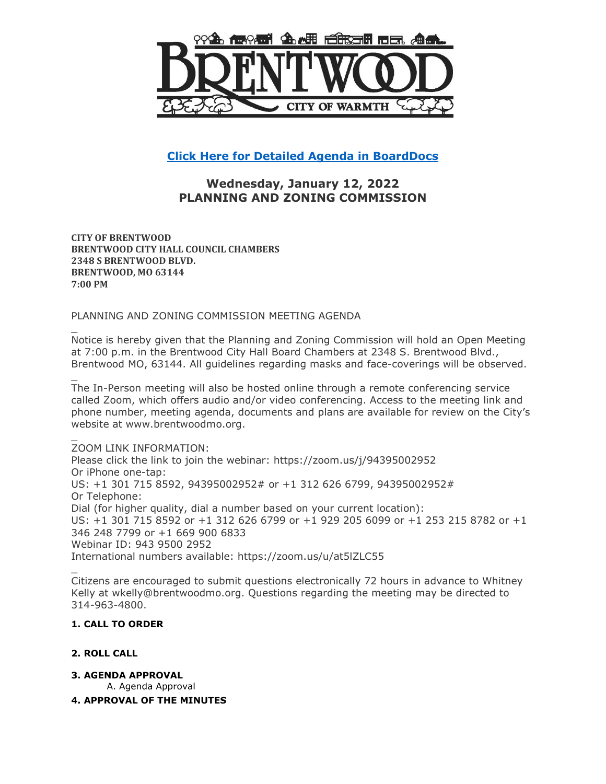

**[Click Here for Detailed Agenda in BoardDocs](http://go.boarddocs.com/mo/cob/Board.nsf/goto?open&id=C9HSE670901E)**

# **Wednesday, January 12, 2022 PLANNING AND ZONING COMMISSION**

**CITY OF BRENTWOOD BRENTWOOD CITY HALL COUNCIL CHAMBERS 2348 S BRENTWOOD BLVD. BRENTWOOD, MO 63144 7:00 PM**

PLANNING AND ZONING COMMISSION MEETING AGENDA

\_ Notice is hereby given that the Planning and Zoning Commission will hold an Open Meeting at 7:00 p.m. in the Brentwood City Hall Board Chambers at 2348 S. Brentwood Blvd., Brentwood MO, 63144. All guidelines regarding masks and face-coverings will be observed.

The In-Person meeting will also be hosted online through a remote conferencing service called Zoom, which offers audio and/or video conferencing. Access to the meeting link and phone number, meeting agenda, documents and plans are available for review on the City's website at www.brentwoodmo.org.

ZOOM LINK INFORMATION: Please click the link to join the webinar: https://zoom.us/j/94395002952 Or iPhone one-tap: US: +1 301 715 8592, 94395002952# or +1 312 626 6799, 94395002952# Or Telephone: Dial (for higher quality, dial a number based on your current location): US: +1 301 715 8592 or +1 312 626 6799 or +1 929 205 6099 or +1 253 215 8782 or +1 346 248 7799 or +1 669 900 6833 Webinar ID: 943 9500 2952 International numbers available: https://zoom.us/u/at5lZLC55

Citizens are encouraged to submit questions electronically 72 hours in advance to Whitney Kelly at wkelly@brentwoodmo.org. Questions regarding the meeting may be directed to 314-963-4800.

# **1. CALL TO ORDER**

# **2. ROLL CALL**

\_

\_

\_

**3. AGENDA APPROVAL**

A. Agenda Approval

# **4. APPROVAL OF THE MINUTES**